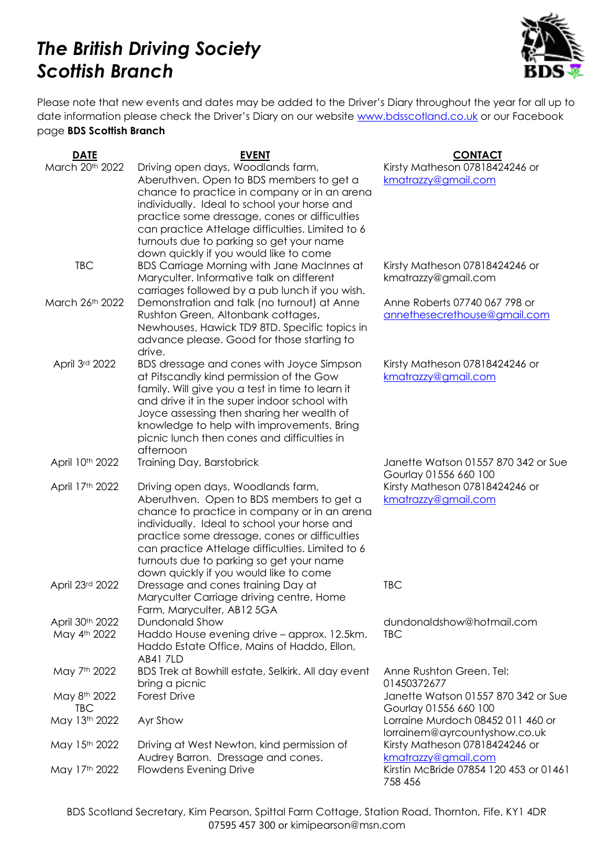## *The British Driving Society Scottish Branch*



Please note that new events and dates may be added to the Driver's Diary throughout the year for all up to date information please check the Driver's Diary on our website [www.bdsscotland.co.uk](http://www.bdsscotland.co.uk/) or our Facebook page **BDS Scottish Branch**

| <b>DATE</b>                     | <b>EVENT</b>                                                                                                                                                                                                                                                                                                                                                              | <b>CONTACT</b>                                                     |
|---------------------------------|---------------------------------------------------------------------------------------------------------------------------------------------------------------------------------------------------------------------------------------------------------------------------------------------------------------------------------------------------------------------------|--------------------------------------------------------------------|
| March 20th 2022                 | Driving open days, Woodlands farm,<br>Aberuthven. Open to BDS members to get a<br>chance to practice in company or in an arena<br>individually. Ideal to school your horse and<br>practice some dressage, cones or difficulties                                                                                                                                           | Kirsty Matheson 07818424246 or<br>kmatrazzy@gmail.com              |
| <b>TBC</b>                      | can practice Attelage difficulties. Limited to 6<br>turnouts due to parking so get your name<br>down quickly if you would like to come<br><b>BDS Carriage Morning with Jane MacInnes at</b>                                                                                                                                                                               | Kirsty Matheson 07818424246 or                                     |
|                                 | Maryculter. Informative talk on different<br>carriages followed by a pub lunch if you wish.                                                                                                                                                                                                                                                                               | kmatrazzy@gmail.com                                                |
| March 26th 2022                 | Demonstration and talk (no turnout) at Anne<br>Rushton Green, Altonbank cottages,<br>Newhouses, Hawick TD9 8TD. Specific topics in<br>advance please. Good for those starting to<br>drive.                                                                                                                                                                                | Anne Roberts 07740 067 798 or<br>annethesecrethouse@gmail.com      |
| April 3rd 2022                  | BDS dressage and cones with Joyce Simpson<br>at Pitscandly kind permission of the Gow<br>family. Will give you a test in time to learn it<br>and drive it in the super indoor school with<br>Joyce assessing then sharing her wealth of<br>knowledge to help with improvements. Bring<br>picnic lunch then cones and difficulties in<br>afternoon                         | Kirsty Matheson 07818424246 or<br>kmatrazzy@gmail.com              |
| April 10th 2022                 | Training Day, Barstobrick                                                                                                                                                                                                                                                                                                                                                 | Janette Watson 01557 870 342 or Sue<br>Gourlay 01556 660 100       |
| April 17th 2022                 | Driving open days, Woodlands farm,<br>Aberuthven. Open to BDS members to get a<br>chance to practice in company or in an arena<br>individually. Ideal to school your horse and<br>practice some dressage, cones or difficulties<br>can practice Attelage difficulties. Limited to 6<br>turnouts due to parking so get your name<br>down quickly if you would like to come | Kirsty Matheson 07818424246 or<br>kmatrazzy@gmail.com              |
| April 23rd 2022                 | Dressage and cones training Day at<br>Maryculter Carriage driving centre, Home<br>Farm, Maryculter, AB12 5GA                                                                                                                                                                                                                                                              | <b>TBC</b>                                                         |
| April 30th 2022<br>May 4th 2022 | Dundonald Show<br>Haddo House evening drive - approx. 12.5km.<br>Haddo Estate Office, Mains of Haddo, Ellon,<br><b>AB41 7LD</b>                                                                                                                                                                                                                                           | dundonaldshow@hotmail.com<br><b>TBC</b>                            |
| May 7th 2022                    | BDS Trek at Bowhill estate, Selkirk. All day event<br>bring a picnic                                                                                                                                                                                                                                                                                                      | Anne Rushton Green. Tel:<br>01450372677                            |
| May 8th 2022<br><b>TBC</b>      | <b>Forest Drive</b>                                                                                                                                                                                                                                                                                                                                                       | Janette Watson 01557 870 342 or Sue<br>Gourlay 01556 660 100       |
| May 13th 2022                   | Ayr Show                                                                                                                                                                                                                                                                                                                                                                  | Lorraine Murdoch 08452 011 460 or<br>lorrainem@ayrcountyshow.co.uk |
| May 15th 2022                   | Driving at West Newton, kind permission of<br>Audrey Barron. Dressage and cones.                                                                                                                                                                                                                                                                                          | Kirsty Matheson 07818424246 or<br>kmatrazzy@gmail.com              |
| May 17th 2022                   | <b>Flowdens Evening Drive</b>                                                                                                                                                                                                                                                                                                                                             | Kirstin McBride 07854 120 453 or 01461<br>758 456                  |

BDS Scotland Secretary, Kim Pearson, Spittal Farm Cottage, Station Road, Thornton, Fife, KY1 4DR 07595 457 300 or kimipearson@msn.com